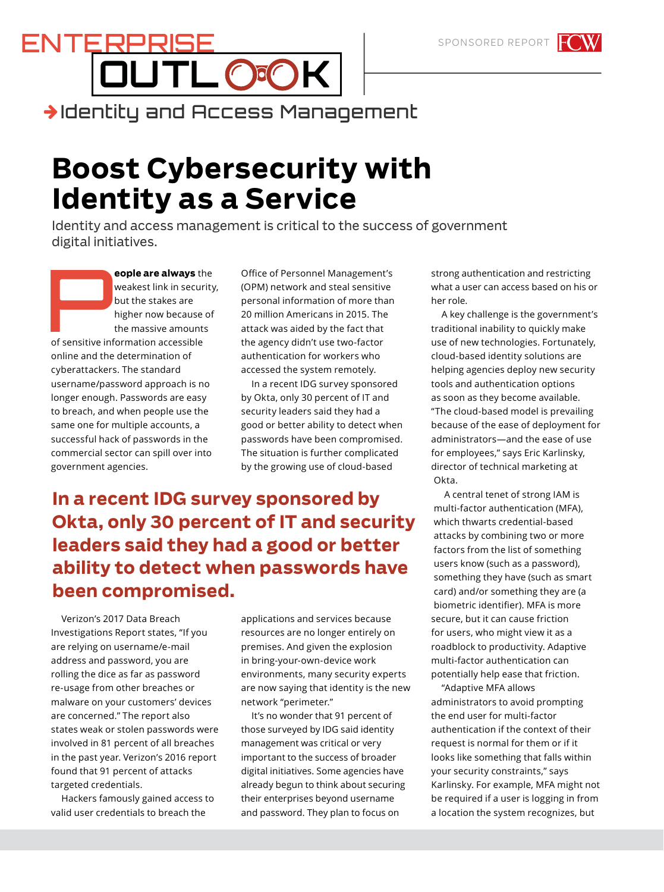## **OUTL K** ENTERPRISE Identity and Access Management

## **Boost Cybersecurity with Identity as a Service**

Identity and access management is critical to the success of government digital initiatives.

**eople are always** the<br>
weakest link in security<br>
but the stakes are<br>
higher now because of<br>
the massive amounts<br>
of sensitive information accessible weakest link in security, but the stakes are higher now because of the massive amounts online and the determination of cyberattackers. The standard username/password approach is no longer enough. Passwords are easy to breach, and when people use the same one for multiple accounts, a successful hack of passwords in the commercial sector can spill over into government agencies.

Office of Personnel Management's (OPM) network and steal sensitive personal information of more than 20 million Americans in 2015. The attack was aided by the fact that the agency didn't use two-factor authentication for workers who accessed the system remotely.

In a recent IDG survey sponsored by Okta, only 30 percent of IT and security leaders said they had a good or better ability to detect when passwords have been compromised. The situation is further complicated by the growing use of cloud-based

## **In a recent IDG survey sponsored by Okta, only 30 percent of IT and security leaders said they had a good or better ability to detect when passwords have been compromised.**

Verizon's 2017 Data Breach Investigations Report states, "If you are relying on username/e-mail address and password, you are rolling the dice as far as password re-usage from other breaches or malware on your customers' devices are concerned." The report also states weak or stolen passwords were involved in 81 percent of all breaches in the past year. Verizon's 2016 report found that 91 percent of attacks targeted credentials.

Hackers famously gained access to valid user credentials to breach the

applications and services because resources are no longer entirely on premises. And given the explosion in bring-your-own-device work environments, many security experts are now saying that identity is the new network "perimeter."

It's no wonder that 91 percent of those surveyed by IDG said identity management was critical or very important to the success of broader digital initiatives. Some agencies have already begun to think about securing their enterprises beyond username and password. They plan to focus on

strong authentication and restricting what a user can access based on his or her role.

A key challenge is the government's traditional inability to quickly make use of new technologies. Fortunately, cloud-based identity solutions are helping agencies deploy new security tools and authentication options as soon as they become available. "The cloud-based model is prevailing because of the ease of deployment for administrators—and the ease of use for employees," says Eric Karlinsky, director of technical marketing at Okta.

A central tenet of strong IAM is multi-factor authentication (MFA), which thwarts credential-based attacks by combining two or more factors from the list of something users know (such as a password), something they have (such as smart card) and/or something they are (a biometric identifier). MFA is more secure, but it can cause friction for users, who might view it as a roadblock to productivity. Adaptive multi-factor authentication can potentially help ease that friction.

"Adaptive MFA allows administrators to avoid prompting the end user for multi-factor authentication if the context of their request is normal for them or if it looks like something that falls within your security constraints," says Karlinsky. For example, MFA might not be required if a user is logging in from a location the system recognizes, but